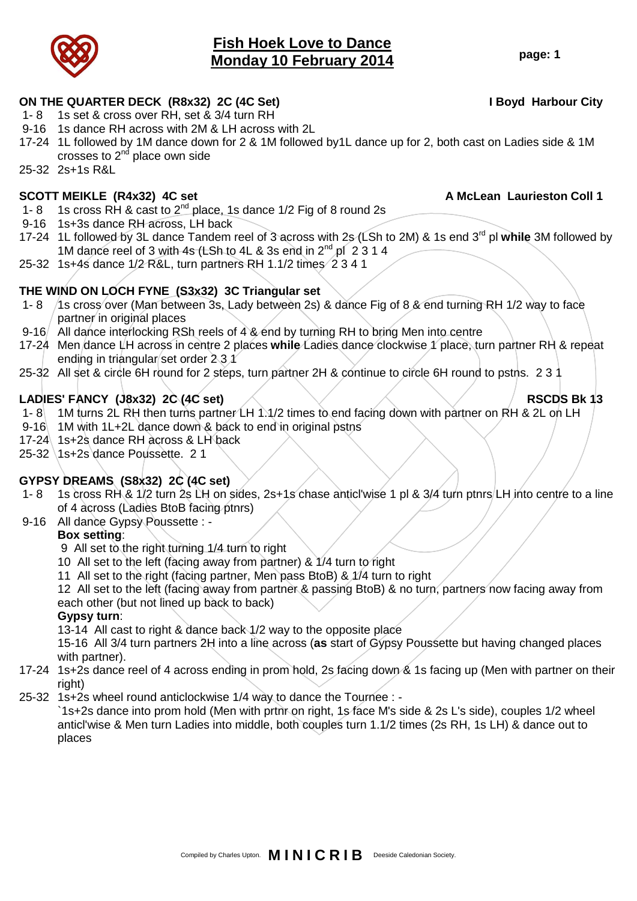Compiled by Charles Upton. **M | N | C R | B** Deeside Caledonian Society.

## **ON THE QUARTER DECK (R8x32) 2C (4C Set) I Boyd Harbour City**

- 1- 8 1s set & cross over RH, set & 3/4 turn RH
- 9-16 1s dance RH across with 2M & LH across with 2L
- 17-24 1L followed by 1M dance down for 2 & 1M followed by1L dance up for 2, both cast on Ladies side & 1M crosses to  $2<sup>nd</sup>$  place own side
- 25-32 2s+1s R&L

# **SCOTT MEIKLE (R4x32) 4C set A McLean Laurieston Coll 1**

- 1- 8 1s cross RH & cast to  $2^{nd}$  place, 1s dance 1/2 Fig of 8 round 2s
- 9-16 1s+3s dance RH across, LH back
- 17-24 1L followed by 3L dance Tandem reel of 3 across with 2s (LSh to 2M) & 1s end 3rd pl **while** 3M followed by 1M dance reel of 3 with 4s (LSh to 4L & 3s end in 2<sup>nd</sup> pl 2 3 1 4
- 25-32 1s+4s dance 1/2 R&L, turn partners RH 1.1/2 times 2 3 4 1

# **THE WIND ON LOCH FYNE (S3x32) 3C Triangular set**

- 1- 8 1s cross over (Man between 3s, Lady between 2s) & dance Fig of 8 & end turning RH 1/2 way to face partner in original places
- 9-16 All dance interlocking RSh reels of 4 & end by turning RH to bring Men into centre
- 17-24 Men dance LH across in centre 2 places **while** Ladies dance clockwise 1 place, turn partner RH & repeat ending in triangular set order 2 3 1
- 25-32 All set & circle 6H round for 2 steps, turn partner 2H & continue to circle 6H round to pstns. 2 3 1

# **LADIES' FANCY (J8x32) 2C (4C set) RSCDS Bk 13**

- 1- 8 1M turns 2L RH then turns partner LH 1.1/2 times to end facing down with partner on RH & 2L on LH
- 9-16 1M with 1L+2L dance down & back to end in original pstns
- 17-24 1s+2s dance RH across & LH back
- 25-32 1s+2s dance Poussette. 2 1

# **GYPSY DREAMS (S8x32) 2C (4C set)**

- 1- 8 1s cross RH & 1/2 turn 2s LH on sides, 2s+1s chase anticl'wise 1 pl & 3/4 turn ptnrs LH into centre to a line of 4 across (Ladies BtoB facing ptnrs)
- 9-16 All dance Gypsy Poussette : -

# **Box setting**:

- 9 All set to the right turning 1/4 turn to right
- 10 All set to the left (facing away from partner) & 1/4 turn to right
- 11 All set to the right (facing partner, Men pass BtoB) & 1/4 turn to right

12 All set to the left (facing away from partner & passing BtoB) & no turn, partners now facing away from each other (but not lined up back to back)

# **Gypsy turn**:

13-14 All cast to right & dance back 1/2 way to the opposite place

15-16 All 3/4 turn partners 2H into a line across (**as** start of Gypsy Poussette but having changed places with partner).

- 17-24 1s+2s dance reel of 4 across ending in prom hold, 2s facing down & 1s facing up (Men with partner on their right)
- 25-32 1s+2s wheel round anticlockwise 1/4 way to dance the Tournee : -

`1s+2s dance into prom hold (Men with prtnr on right, 1s face M's side & 2s L's side), couples 1/2 wheel anticl'wise & Men turn Ladies into middle, both couples turn 1.1/2 times (2s RH, 1s LH) & dance out to places

# **Fish Hoek Love to Dance Monday 10 February 2014 page: 1**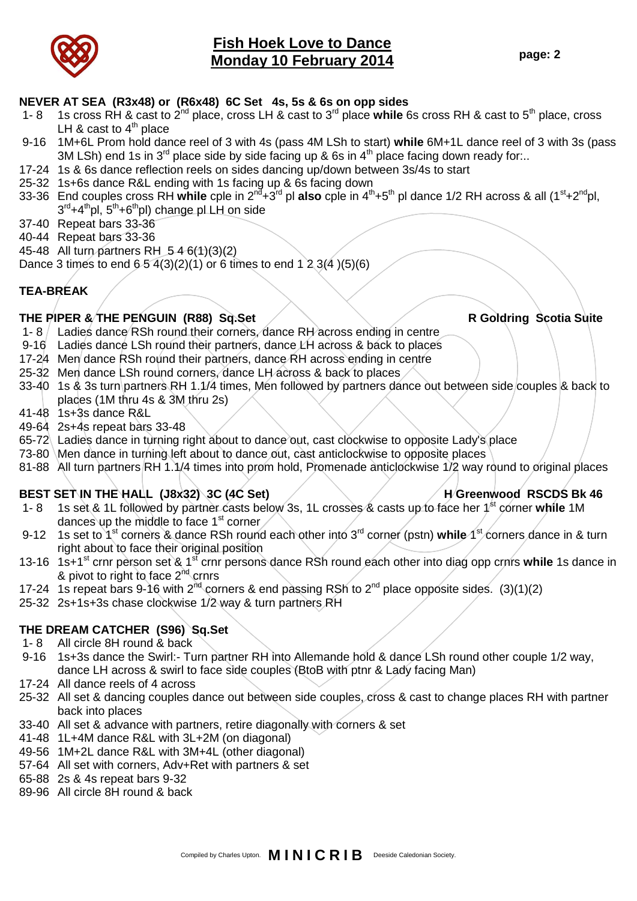**Fish Hoek Love to Dance Monday 10 February 2014 page: 2** 

## **NEVER AT SEA (R3x48) or (R6x48) 6C Set 4s, 5s & 6s on opp sides**

- 1- 8 1s cross RH & cast to 2nd place, cross LH & cast to 3rd place **while** 6s cross RH & cast to 5th place, cross LH & cast to  $4<sup>th</sup>$  place
- 9-16 1M+6L Prom hold dance reel of 3 with 4s (pass 4M LSh to start) **while** 6M+1L dance reel of 3 with 3s (pass 3M LSh) end 1s in  $3^{rd}$  place side by side facing up & 6s in  $4^{th}$  place facing down ready for...
- 17-24 1s & 6s dance reflection reels on sides dancing up/down between 3s/4s to start
- 25-32 1s+6s dance R&L ending with 1s facing up & 6s facing down
- 33-36 End couples cross RH **while** cple in 2nd+3rd pl **also** cple in 4th+5th pl dance 1/2 RH across & all (1st+2ndpl, 3<sup>rd</sup>+4<sup>th</sup>pl, 5<sup>th</sup>+6<sup>th</sup>pl) change pl LH on side
- 37-40 Repeat bars 33-36
- 40-44 Repeat bars 33-36
- 45-48 All turn partners RH 5 4 6(1)(3)(2)
- Dance 3 times to end  $6.54(3)(2)(1)$  or 6 times to end 1 2 3(4 )(5)(6)

# **TEA-BREAK**

#### **THE PIPER & THE PENGUIN (R88) Sq.Set R Goldring Scotia Suite**

- 1-8 Ladies dance RSh round their corners, dance RH across ending in centre
- 9-16 Ladies dance LSh round their partners, dance LH across & back to places
- 17-24 Men dance RSh round their partners, dance RH across ending in centre
- 25-32 Men dance LSh round corners, dance LH across & back to places
- 33-40 1s & 3s turn partners RH 1.1/4 times, Men followed by partners dance out between side couples & back to places (1M thru 4s & 3M thru 2s)
- 41-48 1s+3s dance R&L
- 49-64 2s+4s repeat bars 33-48
- 65-72 Ladies dance in turning right about to dance out, cast clockwise to opposite Lady's place
- 73-80 Men dance in turning left about to dance out, cast anticlockwise to opposite places
- 81-88 All turn partners RH 1.1/4 times into prom hold, Promenade anticlockwise 1/2 way round to original places

# **BEST SET IN THE HALL (J8x32) 3C (4C Set) H Greenwood RSCDS Bk 46**

- 1- 8 1s set & 1L followed by partner casts below 3s, 1L crosses & casts up to face her 1st corner **while** 1M dances up the middle to face  $1<sup>st</sup>$  corner
- 9-12 1s set to 1<sup>st</sup> corners & dance RSh round each other into 3<sup>rd</sup> corner (pstn) while 1<sup>st</sup> corners dance in & turn right about to face their original position
- 13-16 1s+1st crnr person set & 1st crnr persons dance RSh round each other into diag opp crnrs **while** 1s dance in & pivot to right to face 2<sup>nd</sup> crnrs
- 17-24 1s repeat bars 9-16 with  $2^{nd}$  corners & end passing RSh to  $2^{nd}$  place opposite sides. (3)(1)(2)
- 25-32 2s+1s+3s chase clockwise 1/2 way & turn partners RH

## **THE DREAM CATCHER (S96) Sq.Set**

- 1- 8 All circle 8H round & back
- 9-16 1s+3s dance the Swirl:- Turn partner RH into Allemande hold & dance LSh round other couple 1/2 way, dance LH across & swirl to face side couples (BtoB with ptnr & Lady facing Man)
- 17-24 All dance reels of 4 across
- 25-32 All set & dancing couples dance out between side couples, cross & cast to change places RH with partner back into places
- 33-40 All set & advance with partners, retire diagonally with corners & set
- 41-48 1L+4M dance R&L with 3L+2M (on diagonal)
- 49-56 1M+2L dance R&L with 3M+4L (other diagonal)
- 57-64 All set with corners, Adv+Ret with partners & set
- 65-88 2s & 4s repeat bars 9-32
- 89-96 All circle 8H round & back